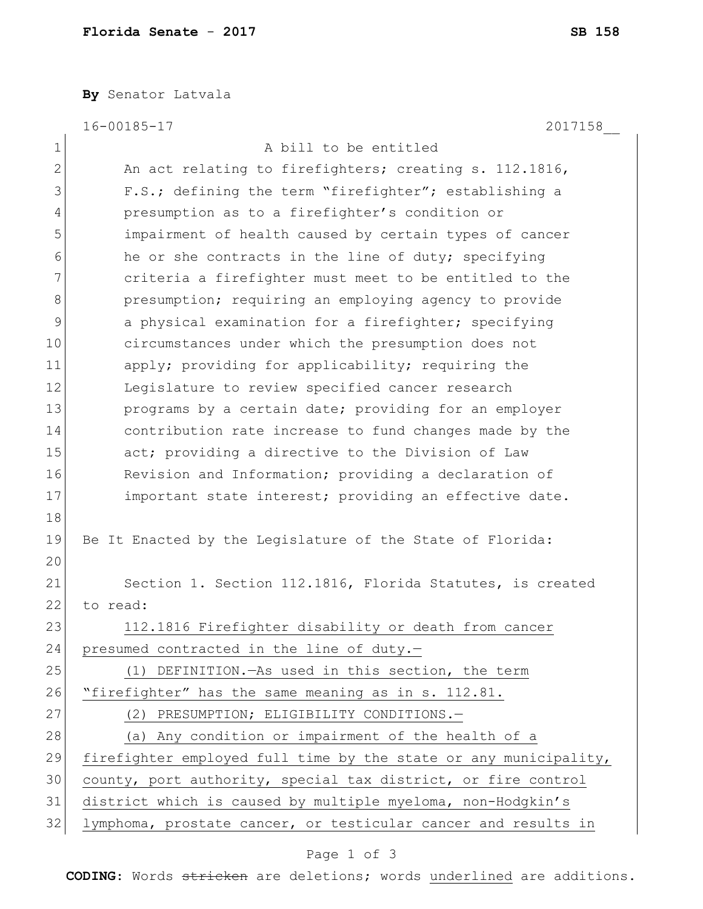**By** Senator Latvala

|               | $16 - 00185 - 17$<br>2017158                                     |
|---------------|------------------------------------------------------------------|
| $\mathbf 1$   | A bill to be entitled                                            |
| $\mathbf{2}$  | An act relating to firefighters; creating s. 112.1816,           |
| 3             | F.S.; defining the term "firefighter"; establishing a            |
| 4             | presumption as to a firefighter's condition or                   |
| 5             | impairment of health caused by certain types of cancer           |
| 6             | he or she contracts in the line of duty; specifying              |
| 7             | criteria a firefighter must meet to be entitled to the           |
| 8             | presumption; requiring an employing agency to provide            |
| $\mathcal{G}$ | a physical examination for a firefighter; specifying             |
| 10            | circumstances under which the presumption does not               |
| 11            | apply; providing for applicability; requiring the                |
| 12            | Legislature to review specified cancer research                  |
| 13            | programs by a certain date; providing for an employer            |
| 14            | contribution rate increase to fund changes made by the           |
| 15            | act; providing a directive to the Division of Law                |
| 16            | Revision and Information; providing a declaration of             |
| 17            | important state interest; providing an effective date.           |
| 18            |                                                                  |
| 19            | Be It Enacted by the Legislature of the State of Florida:        |
| 20            |                                                                  |
| 21            | Section 1. Section 112.1816, Florida Statutes, is created        |
| 22            | to read:                                                         |
| 23            | 112.1816 Firefighter disability or death from cancer             |
| 24            | presumed contracted in the line of duty.-                        |
| 25            | (1) DEFINITION. - As used in this section, the term              |
| 26            | "firefighter" has the same meaning as in s. 112.81.              |
| 27            | (2) PRESUMPTION; ELIGIBILITY CONDITIONS.-                        |
| 28            | (a) Any condition or impairment of the health of a               |
| 29            | firefighter employed full time by the state or any municipality, |
| 30            | county, port authority, special tax district, or fire control    |
| 31            | district which is caused by multiple myeloma, non-Hodgkin's      |
| 32            | lymphoma, prostate cancer, or testicular cancer and results in   |

## Page 1 of 3

**CODING**: Words stricken are deletions; words underlined are additions.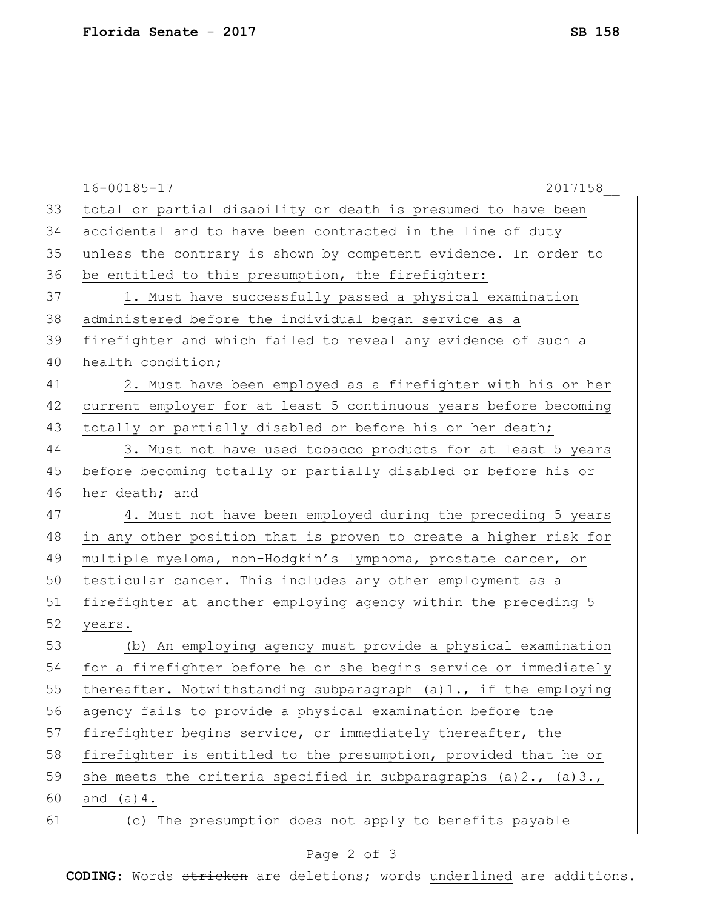|    | $16 - 00185 - 17$<br>2017158                                            |
|----|-------------------------------------------------------------------------|
| 33 | total or partial disability or death is presumed to have been           |
| 34 | accidental and to have been contracted in the line of duty              |
| 35 | unless the contrary is shown by competent evidence. In order to         |
| 36 | be entitled to this presumption, the firefighter:                       |
| 37 | 1. Must have successfully passed a physical examination                 |
| 38 | administered before the individual began service as a                   |
| 39 | firefighter and which failed to reveal any evidence of such a           |
| 40 | health condition;                                                       |
| 41 | 2. Must have been employed as a firefighter with his or her             |
| 42 | current employer for at least 5 continuous years before becoming        |
| 43 | totally or partially disabled or before his or her death;               |
| 44 | 3. Must not have used tobacco products for at least 5 years             |
| 45 | before becoming totally or partially disabled or before his or          |
| 46 | her death; and                                                          |
| 47 | 4. Must not have been employed during the preceding 5 years             |
| 48 | in any other position that is proven to create a higher risk for        |
| 49 | multiple myeloma, non-Hodgkin's lymphoma, prostate cancer, or           |
| 50 | testicular cancer. This includes any other employment as a              |
| 51 | firefighter at another employing agency within the preceding 5          |
| 52 | years.                                                                  |
| 53 | (b) An employing agency must provide a physical examination             |
| 54 | for a firefighter before he or she begins service or immediately        |
| 55 | thereafter. Notwithstanding subparagraph (a)1., if the employing        |
| 56 | agency fails to provide a physical examination before the               |
| 57 | firefighter begins service, or immediately thereafter, the              |
| 58 | firefighter is entitled to the presumption, provided that he or         |
| 59 | she meets the criteria specified in subparagraphs $(a) 2$ ., $(a) 3$ ., |
| 60 | and $(a) 4$ .                                                           |
| 61 | (c) The presumption does not apply to benefits payable                  |
|    |                                                                         |

## Page 2 of 3

**CODING**: Words stricken are deletions; words underlined are additions.